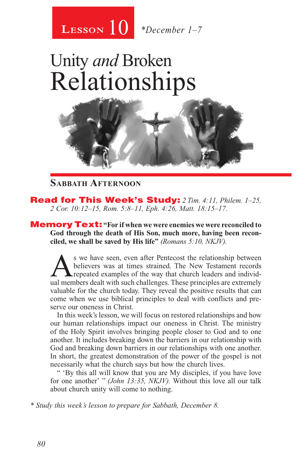

# Unity *and* Broken Relationships



#### **Sabbath Afternoon**

Read for This Week's Study: *2 Tim. 4:11, Philem. 1–25, 2 Cor. 10:12–15, Rom. 5:8–11, Eph. 4:26, Matt. 18:15–17.*

Memory Text: **"For if when we were enemies we were reconciled to God through the death of His Son, much more, having been reconciled, we shall be saved by His life"** *(Romans 5:10, NKJV).* 

S we have seen, even after Pentecost the relationship between<br>believers was at times strained. The New Testament records<br>repeated examples of the way that church leaders and individ-<br>ual members dealt with such challenges. believers was at times strained. The New Testament records **A** repeated examples of the way that church leaders and individual members dealt with such challenges. These principles are extremely valuable for the church today. They reveal the positive results that can come when we use biblical principles to deal with conflicts and preserve our oneness in Christ.

In this week's lesson, we will focus on restored relationships and how our human relationships impact our oneness in Christ. The ministry of the Holy Spirit involves bringing people closer to God and to one another. It includes breaking down the barriers in our relationship with God and breaking down barriers in our relationships with one another. In short, the greatest demonstration of the power of the gospel is not necessarily what the church says but how the church lives.

" 'By this all will know that you are My disciples, if you have love for one another' " *(John 13:35, NKJV).* Without this love all our talk about church unity will come to nothing.

*\* Study this week's lesson to prepare for Sabbath, December 8.*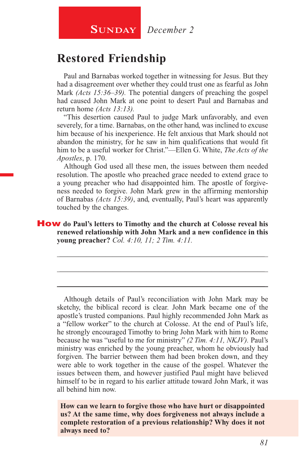### **Restored Friendship**

Paul and Barnabas worked together in witnessing for Jesus. But they had a disagreement over whether they could trust one as fearful as John Mark *(Acts 15:36–39).* The potential dangers of preaching the gospel had caused John Mark at one point to desert Paul and Barnabas and return home *(Acts 13:13).*

"This desertion caused Paul to judge Mark unfavorably, and even severely, for a time. Barnabas, on the other hand, was inclined to excuse him because of his inexperience. He felt anxious that Mark should not abandon the ministry, for he saw in him qualifications that would fit him to be a useful worker for Christ."—Ellen G. White, *The Acts of the Apostles*, p. 170.

Although God used all these men, the issues between them needed resolution. The apostle who preached grace needed to extend grace to a young preacher who had disappointed him. The apostle of forgiveness needed to forgive. John Mark grew in the affirming mentorship of Barnabas *(Acts 15:39)*, and, eventually, Paul's heart was apparently touched by the changes.

How **do Paul's letters to Timothy and the church at Colosse reveal his renewed relationship with John Mark and a new confidence in this young preacher?** *Col. 4:10, 11; 2 Tim. 4:11.*

\_\_\_\_\_\_\_\_\_\_\_\_\_\_\_\_\_\_\_\_\_\_\_\_\_\_\_\_\_\_\_\_\_\_\_\_\_\_\_\_\_\_\_\_\_\_\_\_\_\_\_\_\_\_

\_\_\_\_\_\_\_\_\_\_\_\_\_\_\_\_\_\_\_\_\_\_\_\_\_\_\_\_\_\_\_\_\_\_\_\_\_\_\_\_\_\_\_\_\_\_\_\_\_\_\_\_\_\_

\_\_\_\_\_\_\_\_\_\_\_\_\_\_\_\_\_\_\_\_\_\_\_\_\_\_\_\_\_\_\_\_\_\_\_\_\_\_\_\_\_\_\_\_\_\_\_\_\_\_\_\_\_\_

Although details of Paul's reconciliation with John Mark may be sketchy, the biblical record is clear. John Mark became one of the apostle's trusted companions. Paul highly recommended John Mark as a "fellow worker" to the church at Colosse. At the end of Paul's life, he strongly encouraged Timothy to bring John Mark with him to Rome because he was "useful to me for ministry" *(2 Tim. 4:11, NKJV).* Paul's ministry was enriched by the young preacher, whom he obviously had forgiven. The barrier between them had been broken down, and they were able to work together in the cause of the gospel. Whatever the issues between them, and however justified Paul might have believed himself to be in regard to his earlier attitude toward John Mark, it was all behind him now.

**How can we learn to forgive those who have hurt or disappointed us? At the same time, why does forgiveness not always include a complete restoration of a previous relationship? Why does it not always need to?**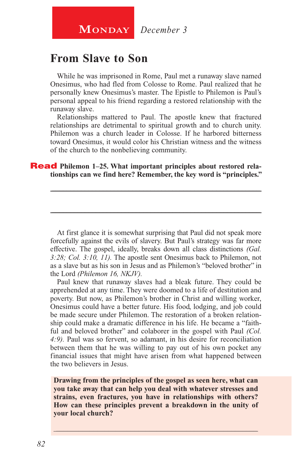**MONDAY** December 3

#### **From Slave to Son**

While he was imprisoned in Rome, Paul met a runaway slave named Onesimus, who had fled from Colosse to Rome. Paul realized that he personally knew Onesimus's master. The Epistle to Philemon is Paul's personal appeal to his friend regarding a restored relationship with the runaway slave.

Relationships mattered to Paul. The apostle knew that fractured relationships are detrimental to spiritual growth and to church unity. Philemon was a church leader in Colosse. If he harbored bitterness toward Onesimus, it would color his Christian witness and the witness of the church to the nonbelieving community.

\_\_\_\_\_\_\_\_\_\_\_\_\_\_\_\_\_\_\_\_\_\_\_\_\_\_\_\_\_\_\_\_\_\_\_\_\_\_\_\_\_\_\_\_\_\_\_\_\_\_\_\_\_\_\_\_\_

\_\_\_\_\_\_\_\_\_\_\_\_\_\_\_\_\_\_\_\_\_\_\_\_\_\_\_\_\_\_\_\_\_\_\_\_\_\_\_\_\_\_\_\_\_\_\_\_\_\_\_\_\_\_\_\_\_

#### **Read** Philemon 1–25. What important principles about restored rela**tionships can we find here? Remember, the key word is "principles."**

At first glance it is somewhat surprising that Paul did not speak more forcefully against the evils of slavery. But Paul's strategy was far more effective. The gospel, ideally, breaks down all class distinctions *(Gal. 3:28; Col. 3:10, 11).* The apostle sent Onesimus back to Philemon, not as a slave but as his son in Jesus and as Philemon's "beloved brother" in the Lord *(Philemon 16, NKJV).*

Paul knew that runaway slaves had a bleak future. They could be apprehended at any time. They were doomed to a life of destitution and poverty. But now, as Philemon's brother in Christ and willing worker, Onesimus could have a better future. His food, lodging, and job could be made secure under Philemon. The restoration of a broken relationship could make a dramatic difference in his life. He became a "faithful and beloved brother" and colaborer in the gospel with Paul *(Col. 4:9).* Paul was so fervent, so adamant, in his desire for reconciliation between them that he was willing to pay out of his own pocket any financial issues that might have arisen from what happened between the two believers in Jesus.

**Drawing from the principles of the gospel as seen here, what can you take away that can help you deal with whatever stresses and strains, even fractures, you have in relationships with others? How can these principles prevent a breakdown in the unity of your local church?**

\_\_\_\_\_\_\_\_\_\_\_\_\_\_\_\_\_\_\_\_\_\_\_\_\_\_\_\_\_\_\_\_\_\_\_\_\_\_\_\_\_\_\_\_\_\_\_\_\_\_\_\_\_\_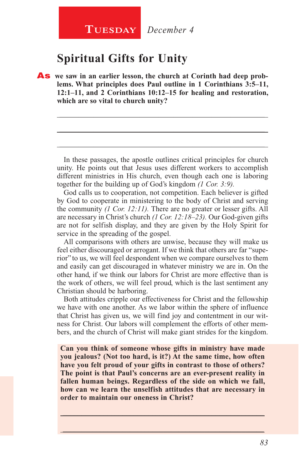## **Spiritual Gifts for Unity**

As **we saw in an earlier lesson, the church at Corinth had deep problems. What principles does Paul outline in 1 Corinthians 3:5–11, 12:1–11, and 2 Corinthians 10:12–15 for healing and restoration, which are so vital to church unity?**

In these passages, the apostle outlines critical principles for church unity. He points out that Jesus uses different workers to accomplish different ministries in His church, even though each one is laboring together for the building up of God's kingdom *(1 Cor. 3:9).*

\_\_\_\_\_\_\_\_\_\_\_\_\_\_\_\_\_\_\_\_\_\_\_\_\_\_\_\_\_\_\_\_\_\_\_\_\_\_\_\_\_\_\_\_\_\_\_\_\_\_\_\_\_\_

\_\_\_\_\_\_\_\_\_\_\_\_\_\_\_\_\_\_\_\_\_\_\_\_\_\_\_\_\_\_\_\_\_\_\_\_\_\_\_\_\_\_\_\_\_\_\_\_\_\_\_\_\_\_

\_\_\_\_\_\_\_\_\_\_\_\_\_\_\_\_\_\_\_\_\_\_\_\_\_\_\_\_\_\_\_\_\_\_\_\_\_\_\_\_\_\_\_\_\_\_\_\_\_\_\_\_\_\_

God calls us to cooperation, not competition. Each believer is gifted by God to cooperate in ministering to the body of Christ and serving the community *(1 Cor. 12:11).* There are no greater or lesser gifts. All are necessary in Christ's church *(1 Cor. 12:18–23).* Our God-given gifts are not for selfish display, and they are given by the Holy Spirit for service in the spreading of the gospel.

All comparisons with others are unwise, because they will make us feel either discouraged or arrogant. If we think that others are far "superior" to us, we will feel despondent when we compare ourselves to them and easily can get discouraged in whatever ministry we are in. On the other hand, if we think our labors for Christ are more effective than is the work of others, we will feel proud, which is the last sentiment any Christian should be harboring.

Both attitudes cripple our effectiveness for Christ and the fellowship we have with one another. As we labor within the sphere of influence that Christ has given us, we will find joy and contentment in our witness for Christ. Our labors will complement the efforts of other members, and the church of Christ will make giant strides for the kingdom.

**Can you think of someone whose gifts in ministry have made you jealous? (Not too hard, is it?) At the same time, how often have you felt proud of your gifts in contrast to those of others? The point is that Paul's concerns are an ever-present reality in fallen human beings. Regardless of the side on which we fall, how can we learn the unselfish attitudes that are necessary in order to maintain our oneness in Christ?**

\_\_\_\_\_\_\_\_\_\_\_\_\_\_\_\_\_\_\_\_\_\_\_\_\_\_\_\_\_\_\_\_\_\_\_\_\_\_\_\_\_\_\_\_\_\_\_\_\_\_\_\_\_\_

\_\_\_\_\_\_\_\_\_\_\_\_\_\_\_\_\_\_\_\_\_\_\_\_\_\_\_\_\_\_\_\_\_\_\_\_\_\_\_\_\_\_\_\_\_\_\_\_\_\_\_\_\_\_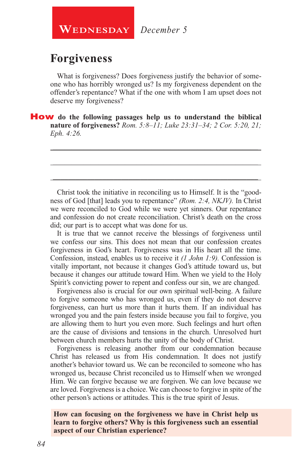**WEDNESDAY** December 5

#### **Forgiveness**

What is forgiveness? Does forgiveness justify the behavior of someone who has horribly wronged us? Is my forgiveness dependent on the offender's repentance? What if the one with whom I am upset does not deserve my forgiveness?

\_\_\_\_\_\_\_\_\_\_\_\_\_\_\_\_\_\_\_\_\_\_\_\_\_\_\_\_\_\_\_\_\_\_\_\_\_\_\_\_\_\_\_\_\_\_\_\_\_\_\_\_\_\_

\_\_\_\_\_\_\_\_\_\_\_\_\_\_\_\_\_\_\_\_\_\_\_\_\_\_\_\_\_\_\_\_\_\_\_\_\_\_\_\_\_\_\_\_\_\_\_\_\_\_\_\_\_\_

\_\_\_\_\_\_\_\_\_\_\_\_\_\_\_\_\_\_\_\_\_\_\_\_\_\_\_\_\_\_\_\_\_\_\_\_\_\_\_\_\_\_\_\_\_\_\_\_\_\_\_\_\_\_

How **do the following passages help us to understand the biblical nature of forgiveness?** *Rom. 5:8–11; Luke 23:31–34; 2 Cor. 5:20, 21; Eph. 4:26.*

Christ took the initiative in reconciling us to Himself. It is the "goodness of God [that] leads you to repentance" *(Rom. 2:4, NKJV).* In Christ we were reconciled to God while we were yet sinners. Our repentance and confession do not create reconciliation. Christ's death on the cross did; our part is to accept what was done for us.

It is true that we cannot receive the blessings of forgiveness until we confess our sins. This does not mean that our confession creates forgiveness in God's heart. Forgiveness was in His heart all the time. Confession, instead, enables us to receive it *(1 John 1:9).* Confession is vitally important, not because it changes God's attitude toward us, but because it changes our attitude toward Him. When we yield to the Holy Spirit's convicting power to repent and confess our sin, we are changed.

Forgiveness also is crucial for our own spiritual well-being. A failure to forgive someone who has wronged us, even if they do not deserve forgiveness, can hurt us more than it hurts them. If an individual has wronged you and the pain festers inside because you fail to forgive, you are allowing them to hurt you even more. Such feelings and hurt often are the cause of divisions and tensions in the church. Unresolved hurt between church members hurts the unity of the body of Christ.

Forgiveness is releasing another from our condemnation because Christ has released us from His condemnation. It does not justify another's behavior toward us. We can be reconciled to someone who has wronged us, because Christ reconciled us to Himself when we wronged Him. We can forgive because we are forgiven. We can love because we are loved. Forgiveness is a choice. We can choose to forgive in spite of the other person's actions or attitudes. This is the true spirit of Jesus.

#### **How can focusing on the forgiveness we have in Christ help us learn to forgive others? Why is this forgiveness such an essential aspect of our Christian experience?**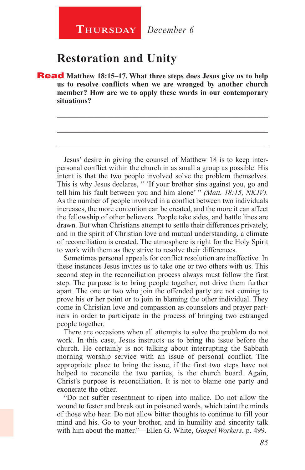## **Restoration and Unity**

Read **Matthew 18:15–17. What three steps does Jesus give us to help us to resolve conflicts when we are wronged by another church member? How are we to apply these words in our contemporary situations?**

\_\_\_\_\_\_\_\_\_\_\_\_\_\_\_\_\_\_\_\_\_\_\_\_\_\_\_\_\_\_\_\_\_\_\_\_\_\_\_\_\_\_\_\_\_\_\_\_\_\_\_\_\_\_

\_\_\_\_\_\_\_\_\_\_\_\_\_\_\_\_\_\_\_\_\_\_\_\_\_\_\_\_\_\_\_\_\_\_\_\_\_\_\_\_\_\_\_\_\_\_\_\_\_\_\_\_\_\_

\_\_\_\_\_\_\_\_\_\_\_\_\_\_\_\_\_\_\_\_\_\_\_\_\_\_\_\_\_\_\_\_\_\_\_\_\_\_\_\_\_\_\_\_\_\_\_\_\_\_\_\_\_\_

Jesus' desire in giving the counsel of Matthew 18 is to keep interpersonal conflict within the church in as small a group as possible. His intent is that the two people involved solve the problem themselves. This is why Jesus declares, " 'If your brother sins against you, go and tell him his fault between you and him alone' " *(Matt. 18:15, NKJV).*  As the number of people involved in a conflict between two individuals increases, the more contention can be created, and the more it can affect the fellowship of other believers. People take sides, and battle lines are drawn. But when Christians attempt to settle their differences privately, and in the spirit of Christian love and mutual understanding, a climate of reconciliation is created. The atmosphere is right for the Holy Spirit to work with them as they strive to resolve their differences.

Sometimes personal appeals for conflict resolution are ineffective. In these instances Jesus invites us to take one or two others with us. This second step in the reconciliation process always must follow the first step. The purpose is to bring people together, not drive them further apart. The one or two who join the offended party are not coming to prove his or her point or to join in blaming the other individual. They come in Christian love and compassion as counselors and prayer partners in order to participate in the process of bringing two estranged people together.

There are occasions when all attempts to solve the problem do not work. In this case, Jesus instructs us to bring the issue before the church. He certainly is not talking about interrupting the Sabbath morning worship service with an issue of personal conflict. The appropriate place to bring the issue, if the first two steps have not helped to reconcile the two parties, is the church board. Again, Christ's purpose is reconciliation. It is not to blame one party and exonerate the other.

"Do not suffer resentment to ripen into malice. Do not allow the wound to fester and break out in poisoned words, which taint the minds of those who hear. Do not allow bitter thoughts to continue to fill your mind and his. Go to your brother, and in humility and sincerity talk with him about the matter."—Ellen G. White, *Gospel Workers*, p. 499.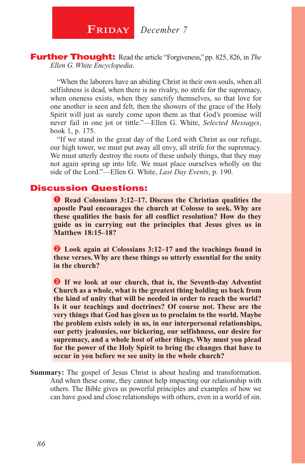**FRIDAY** December 7

Further Thought: Read the article "Forgiveness," pp. 825, 826, in *The Ellen G. White Encyclopedia*.

"When the laborers have an abiding Christ in their own souls, when all selfishness is dead, when there is no rivalry, no strife for the supremacy, when oneness exists, when they sanctify themselves, so that love for one another is seen and felt, then the showers of the grace of the Holy Spirit will just as surely come upon them as that God's promise will never fail in one jot or tittle."—Ellen G. White, *Selected Messages*, book 1, p. 175.

"If we stand in the great day of the Lord with Christ as our refuge, our high tower, we must put away all envy, all strife for the supremacy. We must utterly destroy the roots of these unholy things, that they may not again spring up into life. We must place ourselves wholly on the side of the Lord."—Ellen G. White, *Last Day Events*, p. 190.

#### Discussion Questions:

**Q** Read Colossians 3:12–17. Discuss the Christian qualities the **apostle Paul encourages the church at Colosse to seek. Why are these qualities the basis for all conflict resolution? How do they guide us in carrying out the principles that Jesus gives us in Matthew 18:15–18?**

**2** Look again at Colossians 3:12–17 and the teachings found in **these verses. Why are these things so utterly essential for the unity in the church?**

**B** If we look at our church, that is, the Seventh-day Adventist **Church as a whole, what is the greatest thing holding us back from the kind of unity that will be needed in order to reach the world? Is it our teachings and doctrines? Of course not. These are the very things that God has given us to proclaim to the world. Maybe the problem exists solely in us, in our interpersonal relationships, our petty jealousies, our bickering, our selfishness, our desire for supremacy, and a whole host of other things. Why must you plead for the power of the Holy Spirit to bring the changes that have to occur in you before we see unity in the whole church?**

**Summary:** The gospel of Jesus Christ is about healing and transformation. And when these come, they cannot help impacting our relationship with others. The Bible gives us powerful principles and examples of how we can have good and close relationships with others, even in a world of sin.